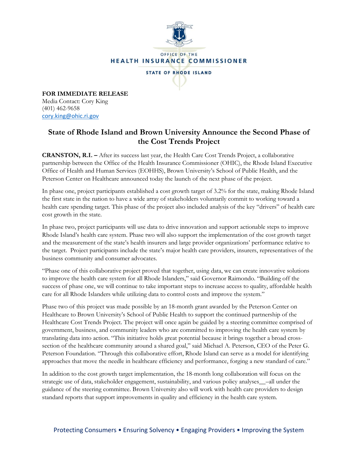

**FOR IMMEDIATE RELEASE** Media Contact: Cory King (401) 462-9658 [cory.king@ohic.ri.gov](mailto:cory.king@ohic.ri.gov)

## **State of Rhode Island and Brown University Announce the Second Phase of the Cost Trends Project**

**CRANSTON, R.I. –** After its success last year, the Health Care Cost Trends Project, a collaborative partnership between the Office of the Health Insurance Commissioner (OHIC), the Rhode Island Executive Office of Health and Human Services (EOHHS), Brown University's School of Public Health, and the Peterson Center on Healthcare announced today the launch of the next phase of the project.

In phase one, project participants established a cost growth target of 3.2% for the state, making Rhode Island the first state in the nation to have a wide array of stakeholders voluntarily commit to working toward a health care spending target. This phase of the project also included analysis of the key "drivers" of health care cost growth in the state.

In phase two, project participants will use data to drive innovation and support actionable steps to improve Rhode Island's health care system. Phase two will also support the implementation of the cost growth target and the measurement of the state's health insurers and large provider organizations' performance relative to the target. Project participants include the state's major health care providers, insurers, representatives of the business community and consumer advocates.

"Phase one of this collaborative project proved that together, using data, we can create innovative solutions to improve the health care system for all Rhode Islanders," said Governor Raimondo. "Building off the success of phase one, we will continue to take important steps to increase access to quality, affordable health care for all Rhode Islanders while utilizing data to control costs and improve the system."

Phase two of this project was made possible by an 18-month grant awarded by the Peterson Center on Healthcare to Brown University's School of Public Health to support the continued partnership of the Healthcare Cost Trends Project. The project will once again be guided by a steering committee comprised of government, business, and community leaders who are committed to improving the health care system by translating data into action. "This initiative holds great potential because it brings together a broad crosssection of the healthcare community around a shared goal," said Michael A. Peterson, CEO of the Peter G. Peterson Foundation. "Through this collaborative effort, Rhode Island can serve as a model for identifying approaches that move the needle in healthcare efficiency and performance, forging a new standard of care."

In addition to the cost growth target implementation, the 18-month long collaboration will focus on the strategic use of data, stakeholder engagement, sustainability, and various policy analyses\_\_–all under the guidance of the steering committee. Brown University also will work with health care providers to design standard reports that support improvements in quality and efficiency in the health care system.